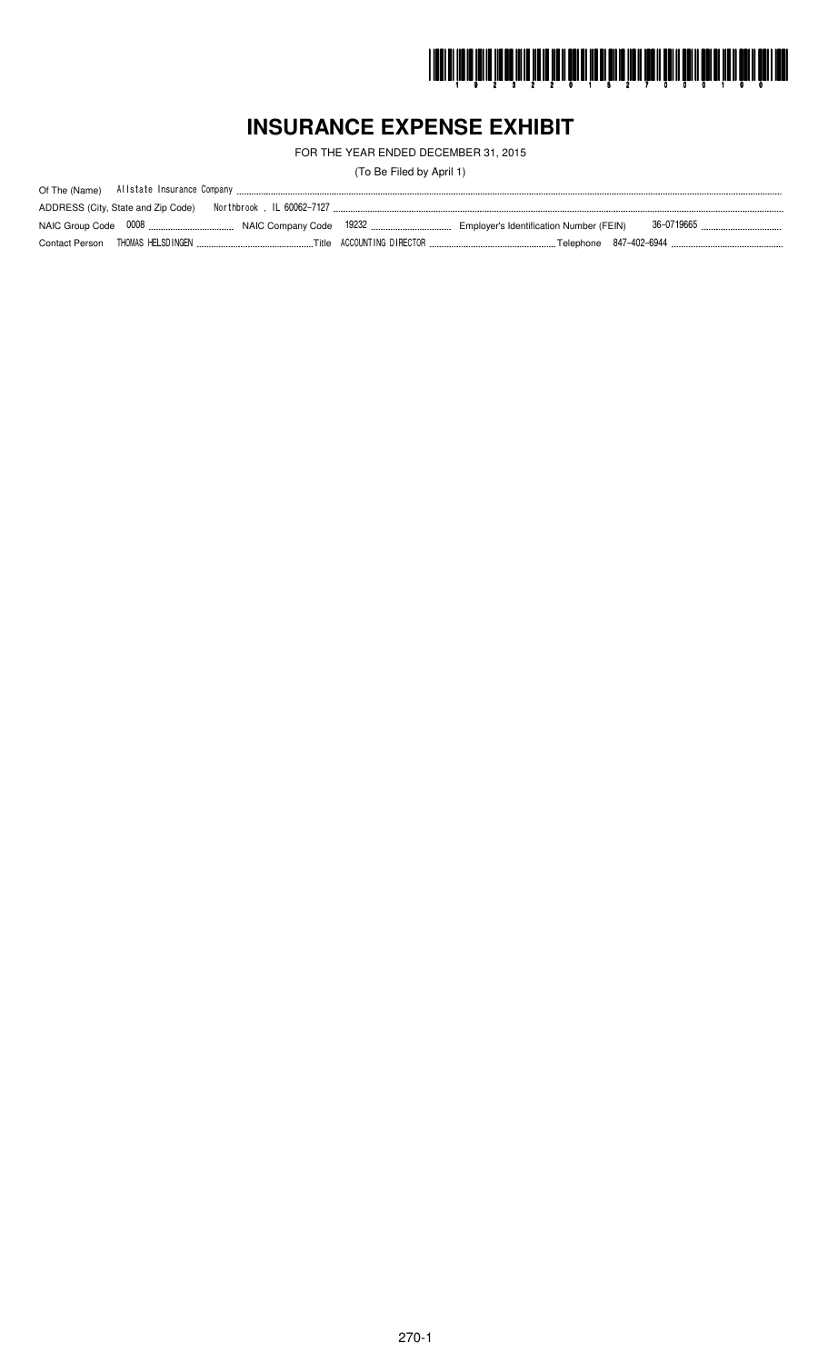

# **INSURANCE EXPENSE EXHIBIT**

FOR THE YEAR ENDED DECEMBER 31, 2015

(To Be Filed by April 1)

| ADDRESS (City, State and Zip Code) |  |            |
|------------------------------------|--|------------|
|                                    |  | 36-0719665 |
| Contact Person THOMAS HELSDINGEN   |  |            |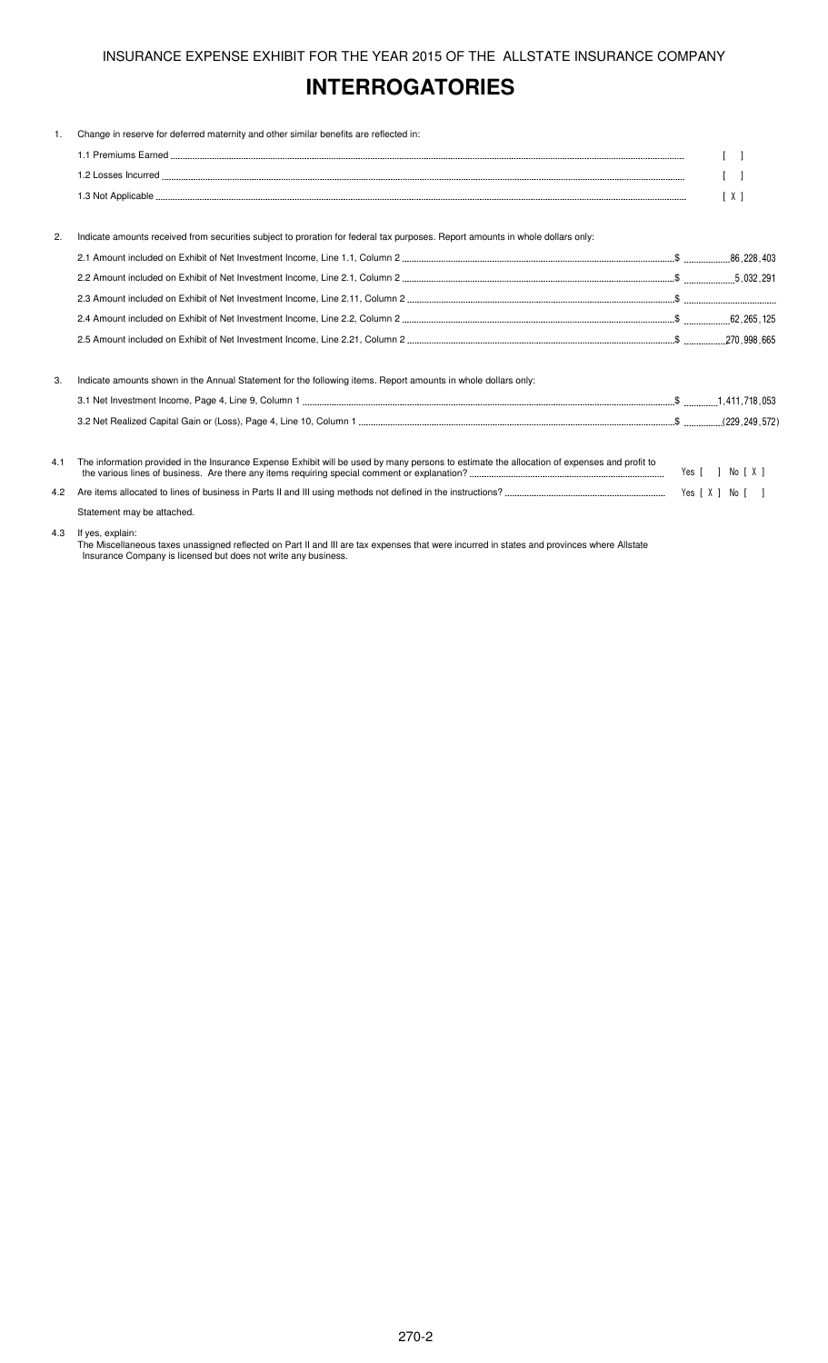# **INTERROGATORIES**

| 1.  | Change in reserve for deferred maternity and other similar benefits are reflected in:                                                       |                   |
|-----|---------------------------------------------------------------------------------------------------------------------------------------------|-------------------|
|     |                                                                                                                                             |                   |
|     |                                                                                                                                             | $\lceil$ $\rceil$ |
|     |                                                                                                                                             | $\lceil X \rceil$ |
| 2.  | Indicate amounts received from securities subject to proration for federal tax purposes. Report amounts in whole dollars only:              |                   |
|     |                                                                                                                                             |                   |
|     |                                                                                                                                             |                   |
|     |                                                                                                                                             |                   |
|     |                                                                                                                                             |                   |
|     |                                                                                                                                             |                   |
| 3.  | Indicate amounts shown in the Annual Statement for the following items. Report amounts in whole dollars only:                               |                   |
|     |                                                                                                                                             |                   |
|     |                                                                                                                                             |                   |
| 4.1 | The information provided in the Insurance Expense Exhibit will be used by many persons to estimate the allocation of expenses and profit to | Yes [ ] No [ X ]  |
| 4.2 |                                                                                                                                             |                   |
|     | Statement may be attached.                                                                                                                  |                   |
| 4.3 | If yes, explain:                                                                                                                            |                   |

The Miscellaneous taxes unassigned reflected on Part II and III are tax expenses that were incurred in states and provinces where Allstate Insurance Company is licensed but does not write any business.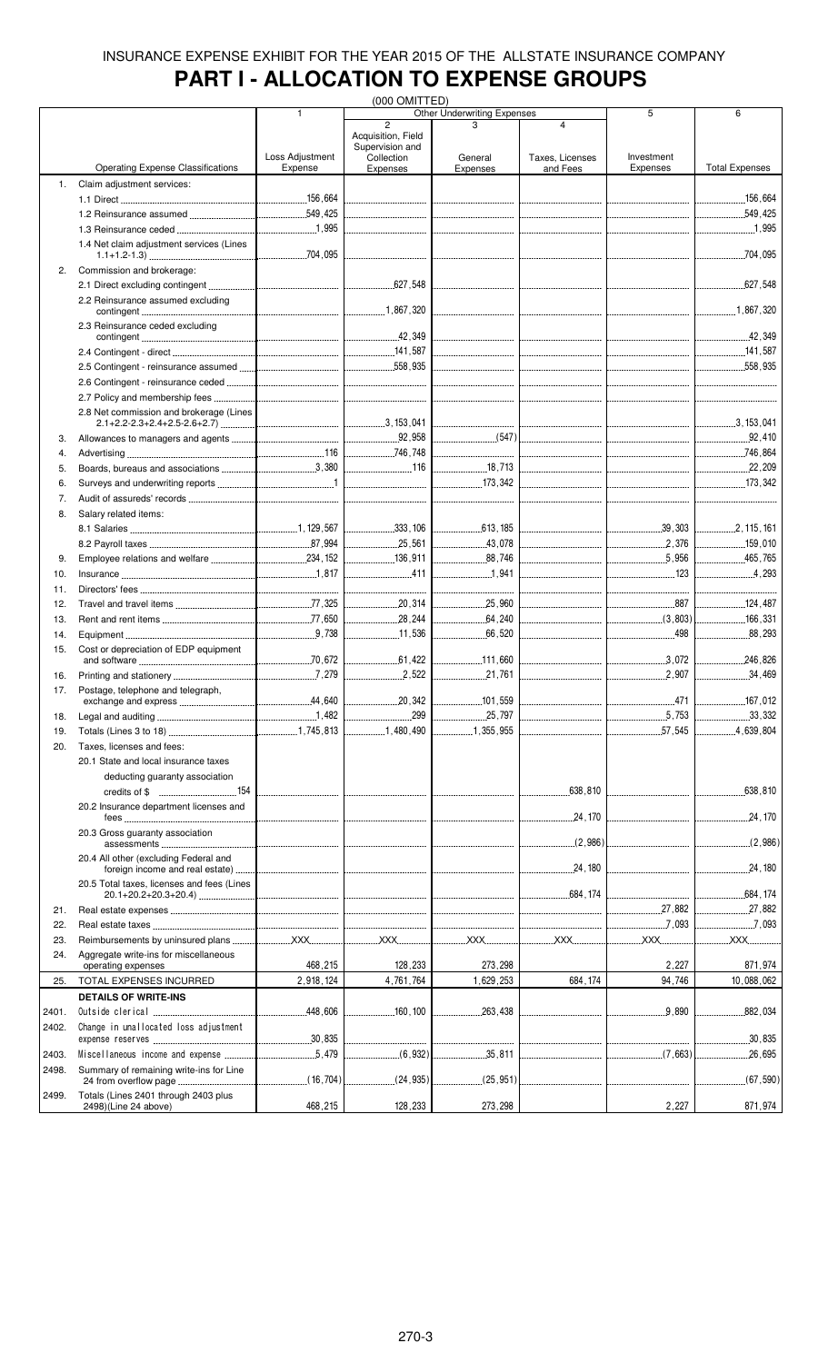# **PART I - ALLOCATION TO EXPENSE GROUPS**

|            |                                                              |                                  | (000 OMITTED)                                       |                                  |                                   |                                  |                         |
|------------|--------------------------------------------------------------|----------------------------------|-----------------------------------------------------|----------------------------------|-----------------------------------|----------------------------------|-------------------------|
|            |                                                              | 1                                | $\overline{2}$                                      | Other Underwriting Expenses      | $\overline{\mathbf{4}}$           | 5                                | 6                       |
|            |                                                              | Loss Adjustment                  | Acquisition, Field<br>Supervision and<br>Collection | General                          | Taxes, Licenses                   | Investment                       |                         |
|            | <b>Operating Expense Classifications</b>                     | Expense                          | Expenses                                            | Expenses                         | and Fees                          | <b>Expenses</b>                  | <b>Total Expenses</b>   |
| 1.         | Claim adjustment services:                                   |                                  |                                                     |                                  |                                   |                                  |                         |
|            |                                                              |                                  |                                                     |                                  |                                   |                                  | 156,664                 |
|            |                                                              |                                  |                                                     |                                  |                                   |                                  |                         |
|            |                                                              |                                  |                                                     |                                  |                                   |                                  |                         |
|            | 1.4 Net claim adjustment services (Lines                     |                                  |                                                     |                                  |                                   |                                  | 704,095                 |
| 2.         | Commission and brokerage:                                    |                                  |                                                     | -------------------------------- |                                   |                                  |                         |
|            | 2.2 Reinsurance assumed excluding                            |                                  |                                                     |                                  |                                   |                                  |                         |
|            | 2.3 Reinsurance ceded excluding                              |                                  |                                                     |                                  |                                   |                                  |                         |
|            |                                                              |                                  |                                                     |                                  |                                   |                                  |                         |
|            |                                                              |                                  |                                                     |                                  |                                   |                                  |                         |
|            |                                                              |                                  |                                                     |                                  | --------------------------------- |                                  |                         |
|            |                                                              |                                  |                                                     |                                  |                                   | -------------------------------- |                         |
|            | 2.8 Net commission and brokerage (Lines                      |                                  |                                                     |                                  |                                   |                                  |                         |
| 3.         |                                                              |                                  |                                                     |                                  |                                   |                                  |                         |
| 4.         |                                                              |                                  |                                                     |                                  |                                   |                                  | 746,864                 |
| 5.         |                                                              |                                  | $\frac{1}{16}$                                      | 18,713                           |                                   |                                  |                         |
| 6.         |                                                              |                                  |                                                     | 173,342                          |                                   |                                  |                         |
| 7.         |                                                              |                                  |                                                     |                                  |                                   |                                  |                         |
| 8.         | Salary related items:                                        |                                  |                                                     |                                  |                                   |                                  |                         |
|            |                                                              |                                  |                                                     |                                  |                                   |                                  |                         |
|            |                                                              |                                  |                                                     | 13,078                           |                                   |                                  | 159,010                 |
| 9.         |                                                              |                                  |                                                     |                                  |                                   | 5.956                            | 465,765                 |
| 10.        |                                                              |                                  |                                                     | 1,941                            |                                   | 123                              | 4,293                   |
| 11.        |                                                              |                                  |                                                     |                                  |                                   |                                  |                         |
| 12.        |                                                              |                                  | 1.1.1.20, 314                                       |                                  |                                   |                                  | 124,487                 |
| 13.        |                                                              |                                  | $\frac{1}{28}$ , 244                                | 64,240                           |                                   |                                  | 166,331<br>.            |
| 14.        |                                                              |                                  | 11,536<br>------------------                        | .66,520<br>.                     |                                   | 498                              | 88,293                  |
| 15.        | Cost or depreciation of EDP equipment                        |                                  |                                                     |                                  |                                   |                                  |                         |
|            |                                                              |                                  | 2,522                                               | 21,761                           |                                   | 2.907                            | 246.826<br>.<br>.34,469 |
| 16.<br>17. |                                                              |                                  |                                                     |                                  |                                   |                                  |                         |
|            | Postage, telephone and telegraph,<br>exchange and express.   | .44,640                          | .20,342                                             | 101,559                          |                                   | .471                             | 167,012                 |
| 18.        |                                                              |                                  | .299                                                | .25,797                          |                                   |                                  | .33,332                 |
| 19.        |                                                              |                                  | 1,480,490                                           | 1,355,955                        |                                   | .57,545<br>.                     | 4,639,804               |
| 20.        | Taxes, licenses and fees:                                    |                                  |                                                     |                                  |                                   |                                  |                         |
|            | 20.1 State and local insurance taxes                         |                                  |                                                     |                                  |                                   |                                  |                         |
|            | deducting guaranty association                               |                                  |                                                     |                                  |                                   |                                  |                         |
|            |                                                              |                                  |                                                     |                                  | .638.810                          |                                  | 638,810                 |
|            | 20.2 Insurance department licenses and                       | -------------------------------- |                                                     |                                  |                                   |                                  | .24,170                 |
|            | 20.3 Gross guaranty association                              |                                  |                                                     |                                  |                                   | -------------------------------- | (2,986)                 |
|            | 20.4 All other (excluding Federal and                        |                                  |                                                     |                                  |                                   | _______________________________  | .24,180<br>.            |
|            | 20.5 Total taxes, licenses and fees (Lines                   |                                  |                                                     |                                  |                                   |                                  | .684, 174               |
| 21.        |                                                              |                                  |                                                     |                                  |                                   |                                  | 27,882<br>.             |
| 22.        |                                                              |                                  |                                                     |                                  |                                   | $\boxed{\ldots}$ . 7,093         | .7.093<br><b>XXX</b>    |
| 23.<br>24. | Aggregate write-ins for miscellaneous                        |                                  |                                                     |                                  |                                   |                                  |                         |
|            | operating expenses                                           | 468,215                          | 128,233                                             | 273,298                          |                                   | 2,227                            | 871,974                 |
| 25.        | TOTAL EXPENSES INCURRED                                      | 2,918,124                        | 4,761,764                                           | 1,629,253                        | 684, 174                          | 94,746                           | 10,088,062              |
|            | <b>DETAILS OF WRITE-INS</b>                                  |                                  |                                                     |                                  |                                   |                                  |                         |
| 2401.      |                                                              |                                  | 160 , 100                                           |                                  |                                   |                                  | .882,034                |
| 2402.      | Change in unallocated loss adjustment                        |                                  |                                                     |                                  |                                   |                                  |                         |
|            |                                                              |                                  |                                                     |                                  |                                   |                                  | 30,835<br>.             |
| 2403.      |                                                              |                                  |                                                     |                                  |                                   |                                  | .26,695                 |
| 2498.      | Summary of remaining write-ins for Line                      |                                  | (24, 935)                                           | (25, 951)                        |                                   |                                  | (67, 590)               |
| 2499.      | Totals (Lines 2401 through 2403 plus<br>2498)(Line 24 above) | 468,215                          | 128,233                                             | 273,298                          |                                   | 2,227                            | 871,974                 |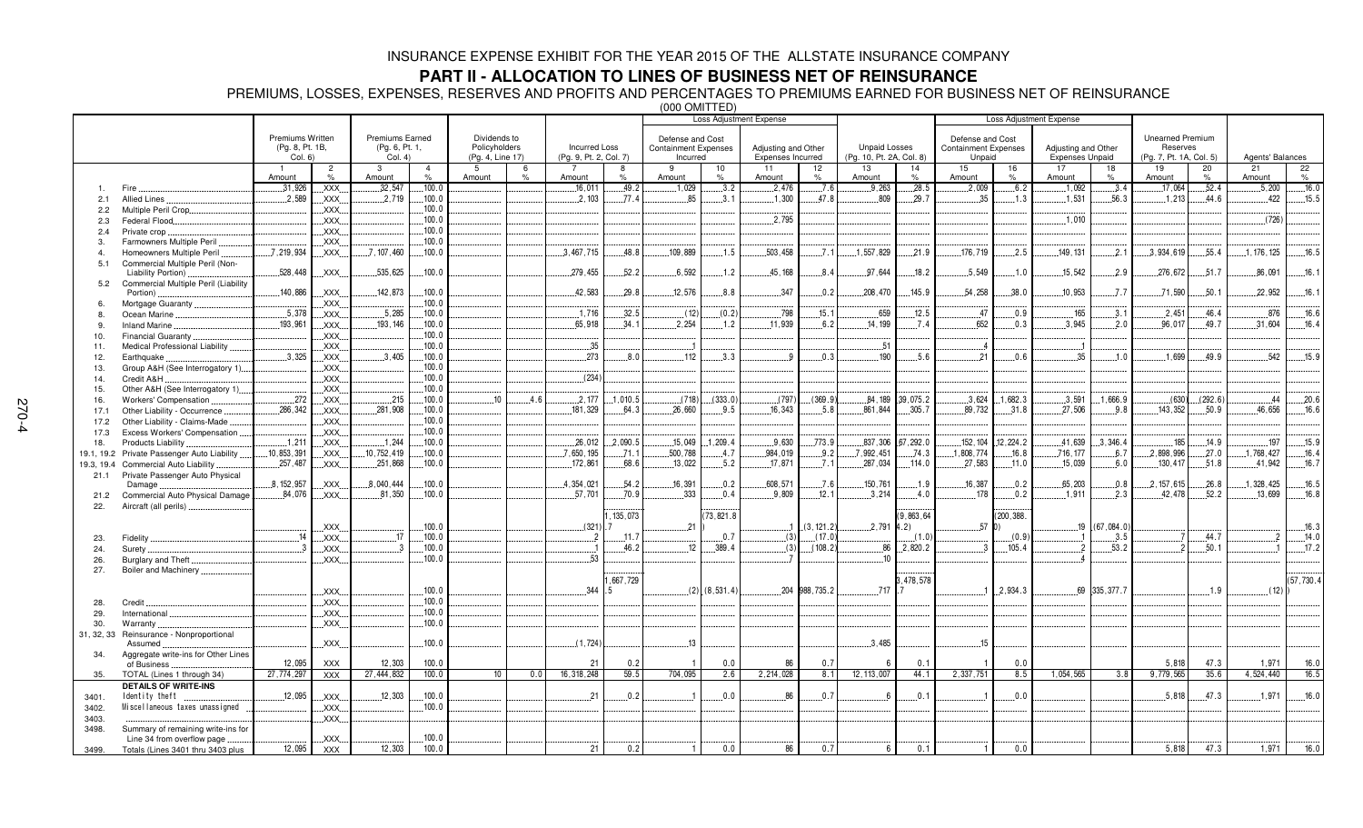### **PART II - ALLOCATION TO LINES OF BUSINESS NET OF REINSURANCE**

PREMIUMS, LOSSES, EXPENSES, RESERVES AND PROFITS AND PERCENTAGES TO PREMIUMS EARNED FOR BUSINESS NET OF REINSURANCE

|                |                                      |                                     |                     |                                   |                |                  |                    |                          |               |                                         | \∪∪∪ ∪™ ! ! ∟ <i>⊔ !</i>       |                                          |                   |                          |           |                                       |            |                                               |              |                                     |            |                  |             |
|----------------|--------------------------------------|-------------------------------------|---------------------|-----------------------------------|----------------|------------------|--------------------|--------------------------|---------------|-----------------------------------------|--------------------------------|------------------------------------------|-------------------|--------------------------|-----------|---------------------------------------|------------|-----------------------------------------------|--------------|-------------------------------------|------------|------------------|-------------|
|                |                                      |                                     |                     |                                   |                |                  |                    |                          |               |                                         | <b>Loss Adjustment Expense</b> |                                          |                   |                          |           |                                       |            | <b>Loss Adjustment Expense</b>                |              |                                     |            |                  |             |
|                |                                      |                                     |                     |                                   |                | Dividends to     |                    |                          |               |                                         |                                |                                          |                   |                          |           |                                       |            |                                               |              |                                     |            |                  |             |
|                |                                      | Premiums Written<br>(Pg. 8, Pt. 1B, |                     | Premiums Earned<br>(Pg. 6, Pt. 1, |                | Policyholders    |                    | <b>Incurred Loss</b>     |               | Defense and Cost                        |                                |                                          |                   | <b>Unpaid Losses</b>     |           | Defense and Cost                      |            |                                               |              | <b>Unearned Premium</b><br>Reserves |            |                  |             |
|                |                                      | Col. 6)                             |                     | Col. 4)                           |                | (Pg. 4, Line 17) |                    | (Pg. 9, Pt. 2, Col. 7)   |               | <b>Containment Expenses</b><br>Incurred |                                | Adjusting and Other<br>Expenses Incurred |                   | (Pg. 10, Pt. 2A, Col. 8) |           | <b>Containment Expenses</b><br>Unpaid |            | Adjusting and Other<br><b>Expenses Unpaid</b> |              | (Pg. 7, Pt. 1A, Col. 5)             |            | Agents' Balances |             |
|                |                                      |                                     | $\overline{c}$      | 3                                 | $\overline{4}$ | 5                |                    |                          | 8             | 9                                       |                                | 11                                       |                   | 13                       | 14        | 15                                    |            | 17                                            | 18           | 19                                  |            | 21               |             |
|                |                                      | Amount                              | $\%$                | Amount                            | $\%$           | Amount           | 6<br>$\frac{9}{6}$ | Amount                   | $\frac{1}{2}$ | Amount                                  | 10<br>%                        | Amount                                   | 12<br>$\%$        | Amount                   | %         | Amount                                | 16<br>$\%$ | Amount                                        | %            | Amount                              | 20<br>$\%$ | Amount           | 22<br>$\%$  |
| $\mathbf{1}$ . | Fire                                 | .31,926                             | XXX.                | .32,547                           | 100.0          |                  |                    | .16,011                  | 49.2          | .1,029                                  | .3.2                           | 2,476                                    | .7.6              | .9.263                   | .28.5     | .2,009                                | .6.2       | .1.092                                        | .3.4         | .17,064                             | .52.4      | .5,200           | .16.0       |
|                |                                      | .2.589                              |                     | .2,719                            | 100.0          |                  |                    | 2.103                    | .77.4         | 85                                      | .3.1                           | .1,300                                   | 47.8              | .809                     | .29.7     | 35                                    | .1.3       | .1.531                                        | .56.3        | .1.213                              | 44.6       | $-422$           | .15.5       |
| 2.1            | Allied Lines                         |                                     | .XXX.               |                                   | 100.0          |                  |                    |                          |               |                                         |                                |                                          |                   |                          |           |                                       |            |                                               |              |                                     |            |                  |             |
| 2.2            | Multiple Peril Crop.                 |                                     | XXX.                |                                   |                |                  |                    |                          |               |                                         |                                |                                          |                   |                          |           |                                       |            |                                               |              |                                     |            |                  |             |
| 2.3            | Federal Flood                        |                                     | $\overline{X}$ XXX. |                                   | 100.0          |                  |                    |                          |               |                                         |                                | .2,795                                   |                   |                          |           |                                       |            | .1,010                                        |              |                                     |            | (726)            |             |
| 2.4            | Private crop                         |                                     | $\mathsf{XXX}$      |                                   | 100.0          |                  |                    |                          |               |                                         |                                |                                          |                   |                          |           |                                       |            |                                               |              |                                     |            |                  |             |
| 3.             | Farmowners Multiple Peril            |                                     | XXX.                |                                   | 100.0          |                  |                    |                          |               |                                         |                                |                                          |                   |                          |           |                                       |            |                                               |              |                                     |            |                  |             |
| 4              | Homeowners Multiple Peril            | .7,219,934                          | XXX.                | .7, 107, 460                      | 100.0          |                  |                    | 3.467.715                | 48.8          | 109.889                                 | .1.5                           | 503.458                                  | 7.1               | .1, 557, 829             | .21.9     | .176,719                              | .2.5       | 149, 131                                      | .2.1         | 3,934,619                           | .55.4      | 1, 176, 125      | .16.5       |
| 5.1            | Commercial Multiple Peril (Non-      |                                     |                     |                                   |                |                  |                    |                          |               |                                         |                                |                                          |                   |                          |           |                                       |            |                                               |              |                                     |            |                  |             |
|                | Liability Portion)                   | 528,448                             | $\overline{.}$ XXX. | .535,625                          | 100.0          |                  |                    | 279,455                  | 52.2          | .6,592                                  | .1.2                           | 45, 168                                  | 8.4               | 97,644                   | .18.2     | .5,549                                | .1.0       | .15.542                                       | .2.9         | 276,672                             | .51.7      | .86,091          | 16.1        |
| 5.2            | Commercial Multiple Peril (Liability |                                     |                     |                                   |                |                  |                    |                          |               |                                         |                                |                                          |                   |                          |           |                                       |            |                                               |              |                                     |            |                  |             |
|                | Portion)                             | 140,886                             | .XXX.               | 142,873                           | 100.0          |                  |                    | 42,583                   | 29.8          | 12,576                                  | 8.8                            | .347                                     | 0.2               | .208,470                 | .145.9    | 54,258                                | .38.0      | .10.953                                       | .7.7         | .71.590                             | .50.1      | 22,952           | .16.1       |
| 6.             | Mortgage Guaranty                    |                                     | XXX.                |                                   | 100.0          |                  |                    |                          |               |                                         |                                |                                          |                   |                          |           |                                       |            |                                               |              |                                     |            |                  |             |
| 8.             | Ocean Marine                         | .5.378                              | .XXX.               | .5.285                            | 100.0          |                  |                    | .1,716                   | 32.5          | (12)                                    | (0.2)                          | .798                                     | 15.1              | .659                     | .12.5     | .47                                   | .0.9       | 165                                           | .3.1         | .2.451                              | 46.4       | 876              | .16.6       |
| 9.             | Inland Marine                        | 193,961                             | XXX.                | 193, 146                          | 100.0          |                  |                    | 65,918                   | .34.1         | 2,254                                   | .1.2                           | 11,939                                   | .6.2              | 14, 199                  | .7.4      | 652                                   | .0.3       | .3.945                                        | .2.0         | 96,017                              | 49.7       | 31,604           | 16.4        |
| 10.            | <b>Financial Guaranty</b>            |                                     | XXX.                |                                   | 100.0          |                  |                    |                          |               |                                         |                                |                                          |                   |                          |           |                                       |            |                                               |              |                                     |            |                  |             |
| 11.            | Medical Professional Liability       |                                     | XXX.                |                                   | 100.0          |                  |                    | .35                      |               |                                         |                                |                                          |                   | .51                      |           | - 4                                   |            |                                               |              |                                     |            |                  |             |
| 12.            | Earthquake                           | .3.325                              | .XXX.               | .3.405                            | 100.0          |                  |                    | 273                      | 8.0           | .112                                    | 3.3                            | -9                                       | 0.3               | 190                      | 5.6       | .21                                   | .0.6       | .35                                           | .1.0         | 1.699                               | 49.9       | .542             | .15.9       |
| 13.            | Group A&H (See Interrogatory 1)      |                                     | .XXX.               |                                   | 100.0          |                  |                    |                          |               |                                         |                                |                                          |                   |                          |           |                                       |            |                                               |              |                                     |            |                  |             |
| 14.            | Credit A&H                           |                                     | .XXX.               |                                   | 100.0          |                  |                    | (234)                    |               |                                         |                                |                                          |                   |                          |           |                                       |            |                                               |              |                                     |            |                  |             |
| 15.            | Other A&H (See Interrogatory 1)      |                                     | XXX.                |                                   | 100.0          |                  |                    |                          |               |                                         |                                |                                          |                   |                          |           |                                       |            |                                               |              |                                     |            |                  |             |
| 16.            | Workers' Compensation                | 272                                 | XXX.                | 215                               | 100.0          | 10               | 4.6                | .2.177                   | 1.010.5       | (718)                                   | (333.0)                        | (797)                                    | (369.9)           | 84.189                   | .39,075.2 | 3.624                                 | 1.682.3    | .3.591                                        | 1.666.9      | (630)                               | (292.6)    | 44               | 20.6        |
| 17.1           | Other Liability - Occurrence         | .286,342                            | XXX.                | 281.908                           | 100.0          |                  |                    | 181,329                  | 64.3          | 26.660                                  | 9.5                            | 16.343                                   | 5.8               | 861.844                  | 305.7     | 89.732                                | .31.8      | .27,506                                       | .9.8         | 143,352                             | 50.9       | 46.656           | 16.6        |
| 17.2           | Other Liability - Claims-Made        |                                     | $\mathsf{XXX}$      |                                   | 100.0          |                  |                    |                          |               |                                         |                                |                                          |                   |                          |           |                                       |            |                                               |              |                                     |            |                  |             |
| 17.3           | Excess Workers' Compensation         |                                     | XXX.                |                                   | 100.0          |                  |                    |                          |               |                                         |                                |                                          |                   |                          |           |                                       |            |                                               |              |                                     |            |                  |             |
| 18.            | Products Liability.                  | .1.211                              | XXX.                | .1.244                            | 100.0          |                  |                    | .26.012                  | 2.090.5       | .15.049                                 | 1,209.4                        | .9.630                                   | .773.9            | .837.306                 | 67.292.0  | 152.104                               | 12.224.2   | .41,639                                       | 3,346.4      | 185                                 | .14.9      | 197              | .15.9       |
| 19.1, 19.2     | Private Passenger Auto Liability     | 10,853,391                          | XXX.                | 10,752,419                        | 100.0          |                  |                    | .7,650,195               | .71.1         | 500,788                                 | .4.7                           | 984.019                                  | .9.2              | 7,992,451                | .74.3     | 1,808,774                             | .16.8      | .716,177                                      | .6.7         | 2,898,996                           | .27.0      | 1,768,427        | .16.4       |
| 19.3, 19.4     | <b>Commercial Auto Liability</b>     | .257,487                            | XXX.                | .251,868                          | 100.0          |                  |                    | 172,861                  | 68.6          | .13,022                                 | .5.2                           | .17, 871                                 | .7.1              | .287,034                 | .114.0    | .27,583                               | .11.0      | .15,039                                       | 6.0          | .130,417                            | .51.8      | .41,942          | .16.7       |
| 21.1           | Private Passenger Auto Physical      |                                     |                     |                                   |                |                  |                    |                          |               |                                         |                                |                                          |                   |                          |           |                                       |            |                                               |              |                                     |            |                  |             |
|                | Damage                               | 8, 152, 957                         | XXX.                | .8,040,444                        | 100.0          |                  |                    | 4,354,021                | 54.2          | .16,391                                 | .0.2                           | .608, 571                                | .7.6              | 150,761                  | .1.9      | 16,387                                | .0.2       | .65,203                                       | 0.8          | .2, 157, 615                        | .26.8      | , 328, 425       | .16.5       |
| 21.2           | Commercial Auto Physical Damage      | .84,076                             | .XXX.               | .81,350                           | 100.0          |                  |                    | .57,701                  | .70.9         | .333                                    | 0.4                            | .9,809                                   | .12.1             | .3,214                   | .4.0      | .178                                  | .0.2       | .1.911                                        | .2.3         | 42.478                              | .52.2      | .13,699          | .16.8       |
| 22.            | Aircraft (all perils)                |                                     |                     |                                   |                |                  |                    |                          |               |                                         |                                |                                          |                   |                          |           |                                       |            |                                               |              |                                     |            |                  |             |
|                |                                      |                                     |                     |                                   |                |                  |                    |                          | , 135, 073    |                                         | 73,821.8                       |                                          |                   |                          | 9,863,64  |                                       | 200,388.   |                                               |              |                                     |            |                  |             |
|                |                                      |                                     | XXX.                |                                   | 100.0          |                  |                    | (321)                    |               | 21                                      |                                |                                          | (3, 121.2)        | 2,791                    | 4.2)      | .57 0                                 |            | .19                                           | (67,084.0)   |                                     |            |                  | .16.3       |
|                |                                      | 14                                  | XXX.                | 17                                | 100.0          |                  |                    | $\overline{\phantom{a}}$ | .11.7         |                                         | 0.7                            | (3)                                      | (17.0)            |                          | (1.0)     |                                       | (0.9)      |                                               | .3.5         |                                     | 44.7       | 2                | .14.0       |
| 23.            | Fidelity                             | $\mathbf{3}$                        |                     | $\cdot$ 3                         | 100.0          |                  |                    |                          | 46.2          | 12                                      | 389.4                          |                                          | $(3)$ $(108.2)$   | 86                       | .2,820.2  | $\mathbf{3}$                          | .105.4     |                                               | .53.2        |                                     | 50.1       |                  | 17.2        |
| 24.            | Surety                               |                                     | XXX.                |                                   | 100.0          |                  |                    | 53                       |               |                                         |                                |                                          |                   | 10                       |           |                                       |            |                                               |              |                                     |            |                  |             |
| 26.            | Burglary and Theft                   |                                     | XXX                 |                                   |                |                  |                    |                          |               |                                         |                                |                                          |                   |                          |           |                                       |            |                                               |              |                                     |            |                  |             |
| 27.            | Boiler and Machinery.                |                                     |                     |                                   |                |                  |                    |                          |               |                                         |                                |                                          |                   |                          |           |                                       |            |                                               |              |                                     |            |                  |             |
|                |                                      |                                     |                     |                                   |                |                  |                    |                          | , 667, 729    |                                         |                                |                                          |                   |                          | 478,578   |                                       |            |                                               |              |                                     |            |                  | (57, 730.4) |
|                |                                      |                                     | .XXX.               |                                   | 100.0          |                  |                    | 344                      | -5            |                                         | $(2)$ , $(8, 531.4)$           |                                          | $.204$ 988, 735.2 | .717                     |           | $\overline{1}$                        | .2.934.3   |                                               | 69 335.377.7 |                                     | .1.9       | (12)             |             |
| 28.            | Credit                               |                                     | XXX.                |                                   | 100.0          |                  |                    |                          |               |                                         |                                |                                          |                   |                          |           |                                       |            |                                               |              |                                     |            |                  |             |
| 29.            | International                        |                                     | .XXX.               |                                   | 100.0          |                  |                    |                          |               |                                         |                                |                                          |                   |                          |           |                                       |            |                                               |              |                                     |            |                  |             |
| 30.            | Warranty                             |                                     | $\mathsf{XXX}$ .    |                                   | 100.0          |                  |                    |                          |               |                                         |                                |                                          |                   |                          |           |                                       |            |                                               |              |                                     |            |                  |             |
| 31, 32, 33     | Reinsurance - Nonproportional        |                                     |                     |                                   |                |                  |                    |                          |               |                                         |                                |                                          |                   |                          |           |                                       |            |                                               |              |                                     |            |                  |             |
|                | Assumed                              |                                     | .XXX.               |                                   | 100.0          |                  |                    | (1, 724)                 |               | 13                                      |                                |                                          |                   | .3,485                   |           | .15                                   |            |                                               |              |                                     |            |                  |             |
| 34.            | Aggregate write-ins for Other Lines  |                                     |                     |                                   |                |                  |                    |                          |               |                                         |                                |                                          |                   |                          |           |                                       |            |                                               |              |                                     |            |                  |             |
|                | of Business                          | 12,095                              | <b>XXX</b>          | 12,303                            | 100.0          |                  |                    | 21                       | 0.2           | 1                                       | 0.0                            | 86                                       | 0.7               |                          | 0.1       | -1                                    | 0.0        |                                               |              | 5,818                               | 47.3       | 1,971            | 16.0        |
| 35.            | TOTAL (Lines 1 through 34)           | 27,774,297                          | <b>XXX</b>          | 27,444,832                        | 100.0          | 10 <sup>1</sup>  | 0.0                | 16,318,248               | 59.5          | 704,095                                 | 2.6                            | 2,214,028                                | 8.1               | 12, 113, 007             | 44.1      | 2,337,751                             | 8.5        | 1,054,565                                     | 3.8          | 9,779,565                           | 35.6       | 4,524,440        | 16.5        |
|                | <b>DETAILS OF WRITE-INS</b>          |                                     |                     |                                   |                |                  |                    |                          |               |                                         |                                |                                          |                   |                          |           |                                       |            |                                               |              |                                     |            |                  |             |
| 3401.          | Identity theft                       | 12.095                              | .XXX.               | .12,303                           | 100.0          |                  |                    | 21                       | 0.2           |                                         | 0.0                            | .86                                      | .0.7              |                          | .0.1      |                                       | 0.0        |                                               |              | .5.818                              | 47.3       | .1.971           | .16.0       |
| 3402.          | Miscellaneous taxes unassigned       |                                     | .XXX.               |                                   | 100.0          |                  |                    |                          |               |                                         |                                |                                          |                   |                          |           |                                       |            |                                               |              |                                     |            |                  |             |
| 3403.          |                                      |                                     | XXX.                |                                   |                |                  |                    |                          |               |                                         |                                |                                          |                   |                          |           |                                       |            |                                               |              |                                     |            |                  |             |
| 3498.          | Summary of remaining write-ins for   |                                     |                     |                                   |                |                  |                    |                          |               |                                         |                                |                                          |                   |                          |           |                                       |            |                                               |              |                                     |            |                  |             |
|                | Line 34 from overflow page           |                                     | XXX.                |                                   | 100.0          |                  |                    |                          |               |                                         |                                |                                          |                   |                          |           |                                       |            |                                               |              |                                     |            |                  |             |
| 3499.          | Totals (Lines 3401 thru 3403 plus    | 12.095                              | <b>XXX</b>          | 12.303                            | 100.0          |                  |                    | 21                       | 0.2           | $\mathbf{1}$                            | 0.0                            | 86                                       | 0.7               | 6                        | 0.1       | $\mathbf{1}$                          | 0.0        |                                               |              | 5.818                               | 47.3       | 1.971            | 16.0        |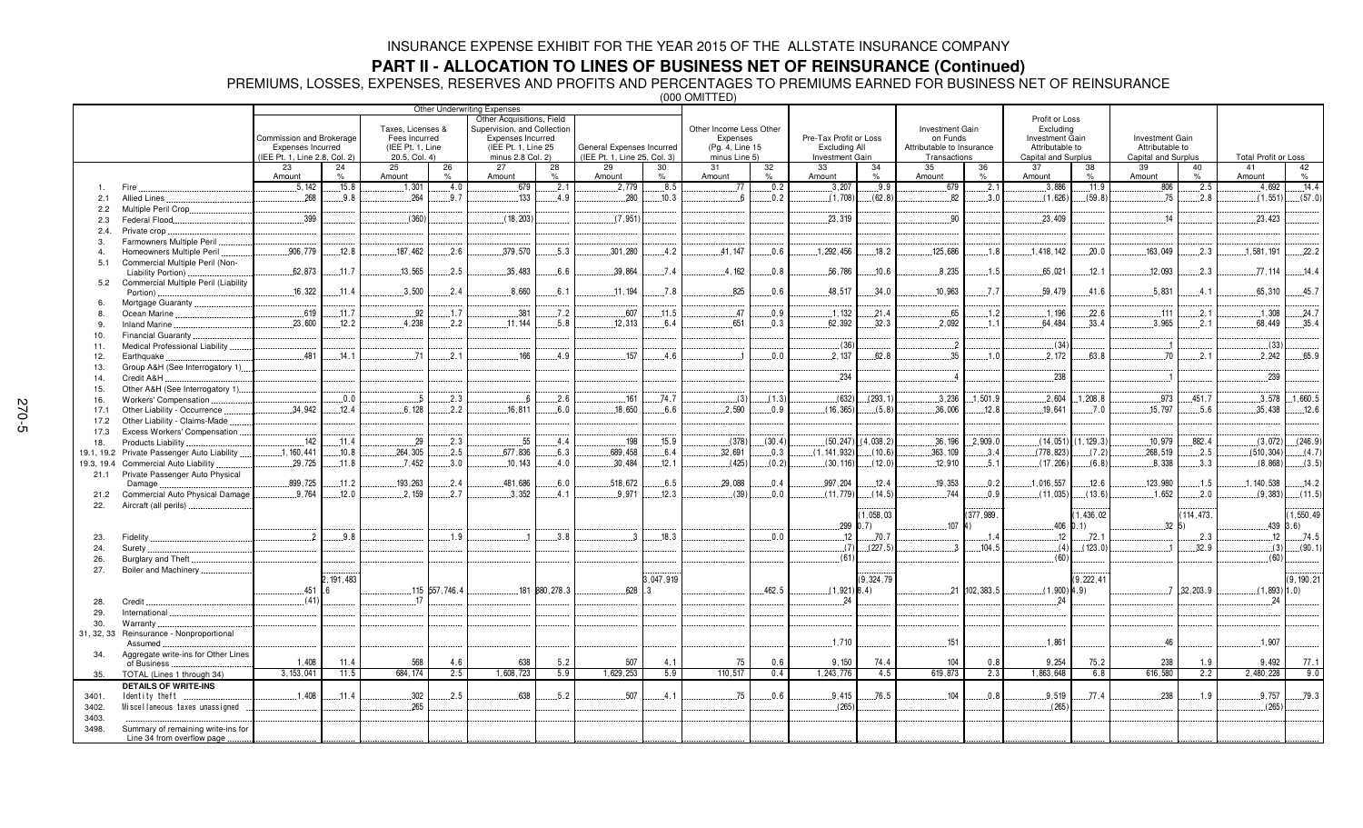## **PART II - ALLOCATION TO LINES OF BUSINESS NET OF REINSURANCE (Continued)**

PREMIUMS, LOSSES, EXPENSES, RESERVES AND PROFITS AND PERCENTAGES TO PREMIUMS EARNED FOR BUSINESS NET OF REINSURANCE

|                |                                      | Commission and Brokerage<br>Expenses Incurred |             | Taxes, Licenses &<br>Fees Incurred<br>(IEE Pt. 1, Line |               | Other Underwriting Expenses<br>Other Acquisitions, Field<br>Supervision, and Collection<br><b>Expenses Incurred</b><br>(IEE Pt. 1, Line 25) |                | General Expenses Incurred    |               | Other Income Less Other<br>Expenses<br>(Pg. 4, Line 15 |        | Pre-Tax Profit or Loss<br><b>Excluding All</b> |                 | <b>Investment Gain</b><br>on Funds<br>Attributable to Insurance |            | Profit or Loss<br>Excluding<br><b>Investment Gain</b><br>Attributable to |              | <b>Investment Gain</b><br>Attributable to |            |                             |                                 |
|----------------|--------------------------------------|-----------------------------------------------|-------------|--------------------------------------------------------|---------------|---------------------------------------------------------------------------------------------------------------------------------------------|----------------|------------------------------|---------------|--------------------------------------------------------|--------|------------------------------------------------|-----------------|-----------------------------------------------------------------|------------|--------------------------------------------------------------------------|--------------|-------------------------------------------|------------|-----------------------------|---------------------------------|
|                |                                      | (IEE Pt. 1, Line 2.8, Col. 2)                 |             | $20.5$ , Col. 4)                                       |               | minus 2.8 Col. 2)                                                                                                                           |                | (IEE Pt. 1, Line 25, Col. 3) |               | minus Line 5)                                          |        | Investment Gain                                |                 | Transactions                                                    |            | Capital and Surplus                                                      |              | Capital and Surplus                       |            | <b>Total Profit or Loss</b> |                                 |
|                |                                      | 23                                            | 24          | 25                                                     | 26            | 27                                                                                                                                          | 28             | 29                           | 30            | 31                                                     | 32     | 33                                             | 34              | 35                                                              | 36         | 37                                                                       | 38           | 39                                        | 40         | 41                          | 42                              |
|                |                                      | Amount                                        | $\%$        | Amount                                                 | $\frac{9}{6}$ | Amount                                                                                                                                      | $\%$           | Amount                       | $\frac{1}{2}$ | Amount                                                 | $\%$   | Amount                                         | $\%$            | Amount                                                          |            | Amount                                                                   | $\%$         | Amount                                    | $\%$       | Amount                      | $\%$                            |
|                | Fire                                 | .5.142                                        | .15.8       | .1,301                                                 | 4.0           | .679                                                                                                                                        | .2.1           | .2.779                       | .8.5          | 77                                                     | 0.2    | .3,207                                         | .9.9            | .679                                                            | .2.1       | .3.886                                                                   | 11.9         | .806                                      | 2.5        | 4.692                       | 14.4                            |
| 2.1            | Allied Lines.                        | 268                                           | .9.8        | $-264$                                                 | 9.7           | 133                                                                                                                                         | 4.9            | 280                          | 10.3          | $\mathsf{f}$                                           | 0.2    | (1.708)                                        | (62.8)          | 82                                                              | 3.0        | (1.626)                                                                  | (59.8)       | 75                                        | .2.8       | (1, 551)                    | (57.0)                          |
| 2.2            | Multiple Peril Crop                  |                                               |             |                                                        |               |                                                                                                                                             |                |                              |               |                                                        |        |                                                |                 |                                                                 |            |                                                                          |              |                                           |            |                             |                                 |
| 2.3            | Federal Flood                        | .399                                          |             | (360)                                                  |               | (18, 203)                                                                                                                                   |                | (7.951)                      |               |                                                        |        | .23,319                                        |                 | .90                                                             |            | .23,409                                                                  |              | .14                                       |            | .23,423                     |                                 |
| 2.4.           | Private crop                         |                                               |             |                                                        |               |                                                                                                                                             |                |                              |               |                                                        |        |                                                |                 |                                                                 |            |                                                                          |              |                                           |            |                             |                                 |
| 3.             | Farmowners Multiple Peril            |                                               |             |                                                        |               |                                                                                                                                             |                |                              |               |                                                        |        |                                                |                 |                                                                 |            |                                                                          |              |                                           |            |                             |                                 |
| $\overline{4}$ | Homeowners Multiple Peril            | 906.779                                       | 12.8        | 187,462                                                | 2.6           | .379,570                                                                                                                                    | 5.3            | .301,280                     | 4.2           | 41.147                                                 | 0.6    | 1.292.456                                      | 18.2            | 125,686                                                         | 1.8        | 1,418,142                                                                | 20.0         | 163.049                                   | .2.3       | .1,581,191                  | 22.2                            |
| 5.1            | Commercial Multiple Peril (Non-      |                                               |             |                                                        |               |                                                                                                                                             |                |                              |               |                                                        |        |                                                |                 |                                                                 |            |                                                                          |              |                                           |            |                             |                                 |
|                | Liability Portion)                   | 62.873                                        | .11.7       | .13,565                                                | .2.5          | .35,483                                                                                                                                     | 6.6            | 39.864                       | 7.4           | 4.162                                                  | 0.8    | 56.786                                         | .10.6           | 8,235                                                           | .1.5       | .65,021                                                                  | .12.1        | 12.093                                    | 2.3        | .77.114                     | 14.4                            |
| 5.2            | Commercial Multiple Peril (Liability |                                               |             |                                                        |               |                                                                                                                                             |                |                              |               |                                                        |        |                                                |                 |                                                                 |            |                                                                          |              |                                           |            |                             |                                 |
|                | Portion)                             | .16,322                                       | .11.4       | .3,500                                                 | 2.4           | .8,660                                                                                                                                      | 6.1            | .11.194                      | .7.8          | .825                                                   | .0.6   | .48,517                                        | .34.0           | .10,963                                                         | 7.7        | .59,479                                                                  | .41.6        | .5,831                                    | . 4 . 1    | 65,310                      | .45.7                           |
| -6.            | Mortgage Guaranty                    |                                               |             |                                                        |               |                                                                                                                                             |                |                              |               |                                                        |        |                                                |                 |                                                                 |            |                                                                          |              |                                           |            |                             |                                 |
|                | Ocean Marine                         | 619                                           | .11.7       | .92                                                    | .1.7          | .381                                                                                                                                        | .7.2           | .607                         | .11.5         | .47                                                    | 0.9    | .1.132                                         | .21.4           | .65                                                             | .1.2       | .1.196                                                                   | 22.6         | .111                                      | .2.1       | .1.308                      | .24.7                           |
| 9.             | <b>Inland Marine</b>                 | 23.600                                        | .12.2       | 4,238                                                  | 2.2           | .11.144                                                                                                                                     | 5.8            | 12.313                       | 6.4           | 651                                                    | 0.3    | .62,392                                        | 32.3            | .2,092                                                          | 1.1        | 64.484                                                                   | 33.4         | .3.965                                    | 2.1        | 68,449                      | .35.4                           |
| 10.            | Financial Guaranty                   |                                               |             |                                                        |               |                                                                                                                                             |                |                              |               |                                                        |        |                                                |                 |                                                                 |            |                                                                          |              |                                           |            |                             |                                 |
| 11.            | Medical Professional Liability       |                                               |             |                                                        |               |                                                                                                                                             |                |                              |               |                                                        |        | (36)                                           |                 | $\overline{2}$                                                  |            | (34)                                                                     |              |                                           |            | (33)                        |                                 |
| 12.            | Earthquake                           | 481                                           | 14.1        | 71                                                     | 2.1           | 166                                                                                                                                         | 4.9            | 157                          | 4.6           |                                                        | 0.0    | 2.137                                          | 62.8            | 35                                                              | 1.0        | 2,172                                                                    | 63.8         | 70                                        | 2.1        | 2,242                       | 65.9                            |
| 13.            | Group A&H (See Interrogatory 1)      |                                               |             |                                                        |               |                                                                                                                                             |                |                              |               |                                                        |        |                                                |                 |                                                                 |            |                                                                          |              |                                           |            |                             |                                 |
| 14.            | Credit A&H.                          |                                               |             |                                                        |               |                                                                                                                                             |                |                              |               |                                                        |        | .234                                           |                 |                                                                 |            | .238                                                                     |              |                                           |            | .239                        |                                 |
| 15.            | Other A&H (See Interrogatory 1)      |                                               |             |                                                        |               |                                                                                                                                             |                |                              |               |                                                        |        |                                                |                 |                                                                 |            |                                                                          |              |                                           |            |                             |                                 |
| 16.            | <b>Workers' Compensation</b>         |                                               | .0.0        | - 5                                                    | 2.3           |                                                                                                                                             | 2.6            | .161                         | .74.7         | (3)                                                    | (1.3)  | (632)                                          | (293.1)         | .3.236                                                          | .1,501.9   | .2,604                                                                   | 1.208.8      | .973                                      | .451.7     |                             | $.3.578$ 1.660.5                |
| 17.1           | Other Liability - Occurrence         | 34.942                                        | .12.4       | 6.128                                                  | 2.2           | .16.811                                                                                                                                     | 6.0            | 18.650                       | 6.6           | 2.590                                                  | 0.9    | (16, 365)                                      | (5.8)           | .36,006                                                         | .12.8      | .19.641                                                                  | 7.0          | 15.797                                    | .5.6       | 35.438                      | .12.6                           |
| 17.2           | Other Liability - Claims-Made        |                                               |             |                                                        |               |                                                                                                                                             |                |                              |               |                                                        |        |                                                |                 |                                                                 |            |                                                                          |              |                                           |            |                             |                                 |
| 17.3           | Excess Workers' Compensation         |                                               |             |                                                        |               |                                                                                                                                             |                |                              |               |                                                        |        |                                                |                 |                                                                 |            |                                                                          |              |                                           |            |                             |                                 |
| 18.            | Products Liability                   | 142                                           | .11.4       | 29                                                     | 2.3           | 55                                                                                                                                          | 4.4            | .198                         | 15.9          | (378)                                                  | (30.4) | (50, 247)                                      | (4,038.2)       | .36,196                                                         | .2,909.0   | (14, 051)                                                                | (1, 129.3)   | .10,979                                   | .882.4     | (3,072)                     | (246.9)                         |
| 19.1, 19.2     | Private Passenger Auto Liability     | .1, 160, 441                                  | .10.8       | 264,305                                                | .2.5          | .677,836                                                                                                                                    | 6.3            | .689,458                     | .6.4          | 32,691                                                 | .0.3   | (1, 141, 932)                                  | (10.6)          | .363, 109                                                       | .3.4       | (778,823)                                                                | (7.2)        | .268,519                                  | 2.5        | (510, 304)                  | (4.7)                           |
| 19.3, 19.4     | Commercial Auto Liability            | .29,725                                       | .11.8       | .7.452                                                 | 3.0           | .10, 143                                                                                                                                    | .4.0           | .30,484                      | .12.1         | (425)                                                  | (0.2)  | (30, 116)                                      | (12.0)          | .12,910                                                         | .5.1       | (17, 206)                                                                | (6.8)        | .8,338                                    | 3.3        | (8,868)                     | (3.5)                           |
| 21.1           | Private Passenger Auto Physical      | .899,725                                      | .11.2       | 193,263                                                | 2.4           | 481,686                                                                                                                                     | 6.0            | 518.672                      | 6.5           | 29.088                                                 | 0.4    | .997,204                                       | 12.4            |                                                                 | .0.2       | 1,016,557                                                                | 12.6         | 123,980                                   | 1.5        | .1, 140, 538                | 14.2                            |
|                | Damage.                              | 9.764                                         | 12.0        | 2.159                                                  | 2.7           | 3,352                                                                                                                                       | 4.1            | 9.971                        | 12.3          | (39)                                                   | 0.0    | (11, 779)                                      | (14.5)          | 19,353<br>744                                                   | 0.9        | (11, 035)                                                                | (13.6)       | 1.652                                     | 2.0        | (9, 383)                    | (11.5)                          |
| 21.2           | Commercial Auto Physical Damage      |                                               |             |                                                        |               |                                                                                                                                             |                |                              |               |                                                        |        |                                                |                 |                                                                 |            |                                                                          |              |                                           |            |                             |                                 |
| 22.            | Aircraft (all perils)                |                                               |             |                                                        |               |                                                                                                                                             |                |                              |               |                                                        |        |                                                |                 |                                                                 | (377, 989. |                                                                          | 1,436,02     |                                           | 114,473.   |                             |                                 |
|                |                                      |                                               |             |                                                        |               |                                                                                                                                             |                |                              |               |                                                        |        | 299 0                                          | 1,058,03<br>.7) | $107$ 4)                                                        |            |                                                                          | $.406$ 0.1)  | 32                                        |            |                             | (1, 550, 49)<br>$-439$ $ 3.6$ ) |
|                | Fidelity                             | $\overline{2}$                                | .9.8        |                                                        | 1.9           |                                                                                                                                             | 3.8            | $\cdot$ 3                    | .18.3         |                                                        | 0.0    | .12                                            | .70.7           |                                                                 | . 1.4      | .12                                                                      | .72.1        |                                           | .2.3       | $.12 -$                     | 74.5                            |
| 23.<br>24.     | Surety.                              |                                               |             |                                                        |               |                                                                                                                                             |                |                              |               |                                                        |        | (7)                                            | (227.5)         | -9                                                              | .104.5     | (4)                                                                      | (123.0)      |                                           | .32.9      |                             | $(3)$ (90.1)                    |
| 26.            | Burglary and Theft                   |                                               |             |                                                        |               |                                                                                                                                             |                |                              |               |                                                        |        | (61)                                           |                 |                                                                 |            | (60)                                                                     |              |                                           |            | (60)                        |                                 |
| 27.            | Boiler and Machinery.                |                                               |             |                                                        |               |                                                                                                                                             |                |                              |               |                                                        |        |                                                |                 |                                                                 |            |                                                                          |              |                                           |            |                             |                                 |
|                |                                      |                                               | 2, 191, 483 |                                                        |               |                                                                                                                                             |                |                              | 3,047,919     |                                                        |        |                                                | (9, 324, 79)    |                                                                 |            |                                                                          | (9, 222, 41) |                                           |            |                             | (9, 190, 21)                    |
|                |                                      | 451 .6                                        |             |                                                        | 115 557,746.4 |                                                                                                                                             | 181 880, 278.3 | .628                         | 3             |                                                        | .462.5 | $(1,921)$ 8.4)                                 |                 | $-21$                                                           | 102, 383.5 | $(1,900)$ 4.9                                                            |              | . 7                                       | .32, 203.9 | $(1,893)$ 1.0)              |                                 |
| 28.            | Credit.                              | (41)                                          |             | -17                                                    |               |                                                                                                                                             |                |                              |               |                                                        |        | 24                                             |                 |                                                                 |            | 24                                                                       |              |                                           |            | 24                          |                                 |
| 29.            | International                        |                                               |             |                                                        |               |                                                                                                                                             |                |                              |               |                                                        |        |                                                |                 |                                                                 |            |                                                                          |              |                                           |            |                             |                                 |
| 30.            | Warranty                             |                                               |             |                                                        |               |                                                                                                                                             |                |                              |               |                                                        |        |                                                |                 |                                                                 |            |                                                                          |              |                                           |            |                             |                                 |
| 31, 32, 33     | Reinsurance - Nonproportional        |                                               |             |                                                        |               |                                                                                                                                             |                |                              |               |                                                        |        |                                                |                 |                                                                 |            |                                                                          |              |                                           |            |                             |                                 |
|                | Assumed.                             |                                               |             |                                                        |               |                                                                                                                                             |                |                              |               |                                                        |        | .1.710                                         |                 | .151                                                            |            | .1,861                                                                   |              | .46                                       |            | .1,907                      |                                 |
| 34.            | Aggregate write-ins for Other Lines  |                                               |             |                                                        |               |                                                                                                                                             |                |                              |               |                                                        |        |                                                |                 |                                                                 |            |                                                                          |              |                                           |            |                             |                                 |
|                | of Business                          | 1.408                                         | 11.4        | 568                                                    | 4.6           | 638                                                                                                                                         | 5.2            | 507                          | 4.1           | 75                                                     | 0.6    | 9,150                                          | 74.4            | 104                                                             | 0.8        | 9,254                                                                    | 75.2         | 238                                       | 1.9        | 9,492                       | 77.1                            |
| 35.            | TOTAL (Lines 1 through 34)           | 3, 153, 041                                   | 11.5        | 684.174                                                | 2.5           | 1.608.723                                                                                                                                   | 5.9            | 1.629.253                    | 5.9           | 110.517                                                | 0.4    | 1,243,776                                      | 4.5             | 619.873                                                         | 2.3        | 1,863,648                                                                | 6.8          | 616.580                                   | 2.2        | 2.480.228                   | 9.0                             |
|                | <b>DETAILS OF WRITE-INS</b>          |                                               |             |                                                        |               |                                                                                                                                             |                |                              |               |                                                        |        |                                                |                 |                                                                 |            |                                                                          |              |                                           |            |                             |                                 |
| 3401.          | Identity theft                       | .1.408                                        | .11.4       | .302                                                   | .2.5          | 638                                                                                                                                         | .5.2           | .507                         | .4.1          | .75                                                    | 0.6    | 9.415                                          | .76.5           | .104                                                            | .0.8       | 9,519                                                                    | .77.4        | .238                                      | .1.9       | .9,757                      | 79.3                            |
| 3402.          | Miscellaneous taxes unassigned       |                                               |             | .265                                                   |               |                                                                                                                                             |                |                              |               |                                                        |        | (265)                                          |                 |                                                                 |            | (265)                                                                    |              |                                           |            | (265)                       |                                 |
| 3403.          |                                      |                                               |             |                                                        |               |                                                                                                                                             |                |                              |               |                                                        |        |                                                |                 |                                                                 |            |                                                                          |              |                                           |            |                             |                                 |
| 3498.          | Summary of remaining write-ins for   |                                               |             |                                                        |               |                                                                                                                                             |                |                              |               |                                                        |        |                                                |                 |                                                                 |            |                                                                          |              |                                           |            |                             |                                 |
|                | Line 34 from overflow page           |                                               |             |                                                        |               |                                                                                                                                             |                |                              |               |                                                        |        |                                                |                 |                                                                 |            |                                                                          |              |                                           |            |                             |                                 |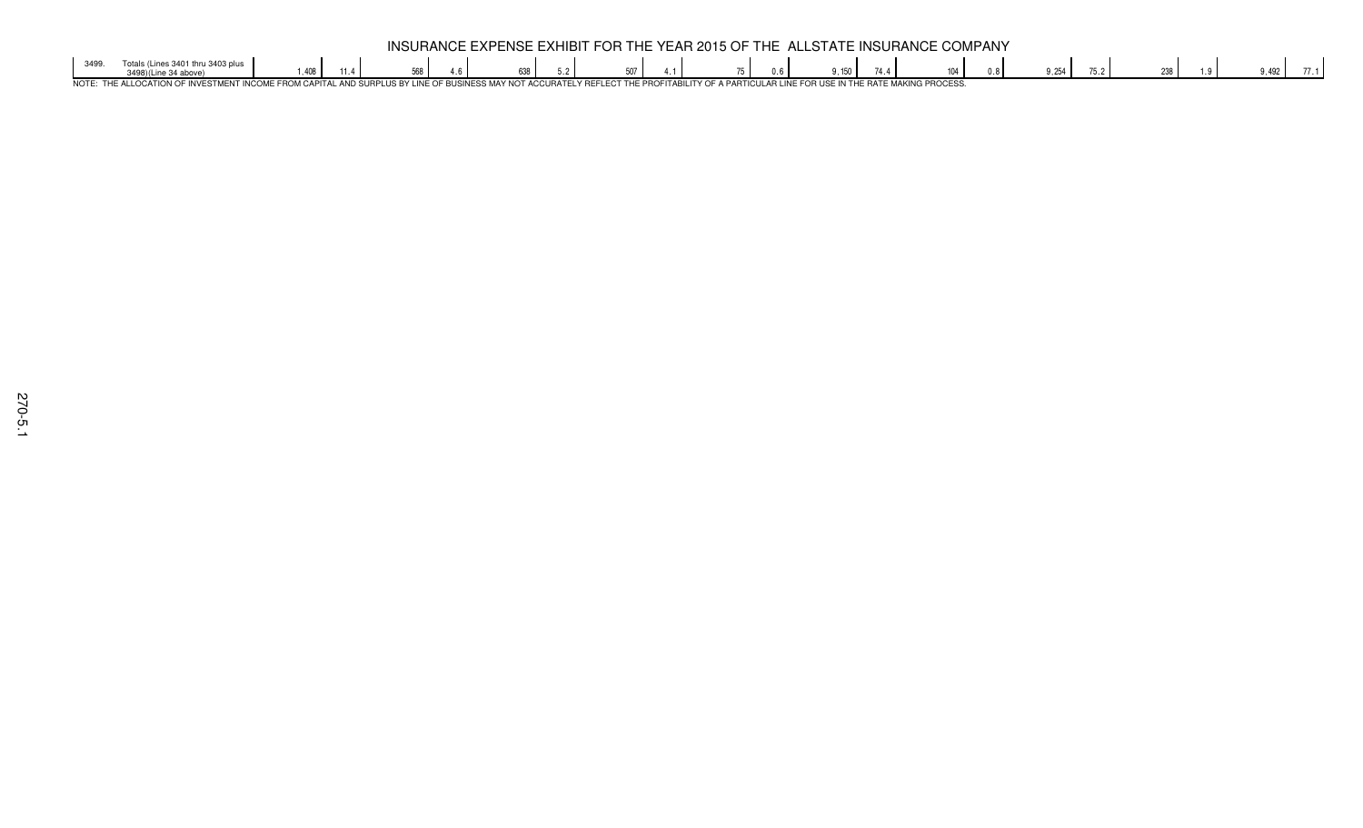|      |                                                |    |  | <b>INS</b> | SURANC |  |  |  | <b>EXPENSE EXHIBIT FOR THE YEAR 2015 OF THE ALLSTATE L</b> |  |  |  |  |      | $\sim$ INSHRANCE. | - COMPANY |      |     |     |  |
|------|------------------------------------------------|----|--|------------|--------|--|--|--|------------------------------------------------------------|--|--|--|--|------|-------------------|-----------|------|-----|-----|--|
|      |                                                | AC |  |            |        |  |  |  | E07                                                        |  |  |  |  | 17.7 |                   |           | ◡.느◡ | --- | 492 |  |
| NOTE | – רוס<br>™C⊤MEN.<br>1 ID A TELVE<br>$\sqrt{2}$ |    |  |            |        |  |  |  |                                                            |  |  |  |  |      |                   |           |      |     |     |  |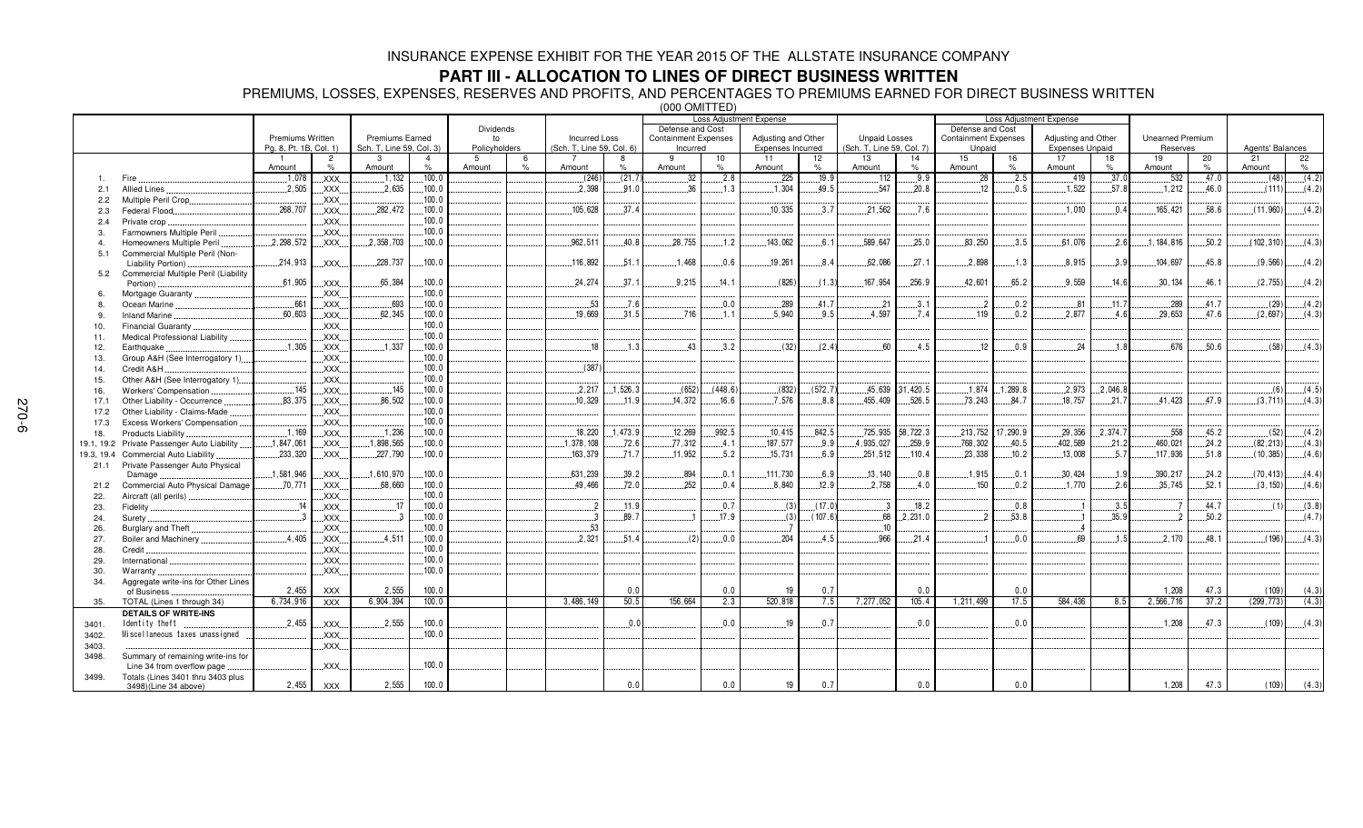## **PART III - ALLOCATION TO LINES OF DIRECT BUSINESS WRITTEN**

PREMIUMS, LOSSES, EXPENSES, RESERVES AND PROFITS, AND PERCENTAGES TO PREMIUMS EARNED FOR DIRECT BUSINESS WRITTEN

|       |                                             |                                            |                |                                                    |                |                     |               |                                                   |          |                                         |         | <b>Loss Adjustment Expense</b>           |         |                                                   |           |                                       |         | <b>Loss Adjustment Expense</b>                |          |                                     |       |                  |       |
|-------|---------------------------------------------|--------------------------------------------|----------------|----------------------------------------------------|----------------|---------------------|---------------|---------------------------------------------------|----------|-----------------------------------------|---------|------------------------------------------|---------|---------------------------------------------------|-----------|---------------------------------------|---------|-----------------------------------------------|----------|-------------------------------------|-------|------------------|-------|
|       |                                             |                                            |                |                                                    |                | Dividends           |               |                                                   |          | Defense and Cost                        |         |                                          |         |                                                   |           | Defense and Cost                      |         |                                               |          |                                     |       |                  |       |
|       |                                             | Premiums Written<br>Pa. 8. Pt. 1B. Col. 1) |                | <b>Premiums Earned</b><br>Sch. T. Line 59, Col. 3) |                | to<br>Policyholders |               | <b>Incurred Loss</b><br>(Sch. T. Line 59, Col. 6) |          | <b>Containment Expenses</b><br>Incurred |         | Adjusting and Other<br>Expenses Incurred |         | <b>Unpaid Losses</b><br>(Sch. T. Line 59, Col. 7) |           | <b>Containment Expenses</b><br>Unpaid |         | Adjusting and Other<br><b>Expenses Unpaid</b> |          | <b>Unearned Premium</b><br>Reserves |       | Agents' Balances |       |
|       |                                             |                                            | $\overline{2}$ | 3                                                  | $\overline{4}$ | -5                  | 6             |                                                   | 8        | 9                                       | 10      | 11                                       | 12      | 13                                                | 14        | 15                                    | 16      | 17                                            | 18       | 19                                  | 20    | 21               | 22    |
|       |                                             | Amount                                     | $\%$           | Amount                                             | %              | Amount              | $\frac{9}{6}$ | Amount                                            | %        | Amount                                  | %       | Amount                                   | $\%$    | Amount                                            | $\%$      | Amount                                | $\%$    | Amount                                        | $\%$     | Amount                              | $\%$  | Amount           | $\%$  |
|       | Fire                                        | .1,078                                     | XXX.           | .1.132                                             | .100.0         |                     |               | (246)                                             | (21.7)   | 32                                      | .2.8    | .225                                     | .19.9   | 112                                               | .9.9      | .28                                   | .2.5    | .419                                          | .37.0    | .532                                | 47.0  | (48)             | (4.2) |
| 2.1   | <b>Allied Lines</b>                         | .2,505                                     | XXX.           | .2,635                                             | .100.0         |                     |               | .2.398                                            | .91.0    | .36                                     | .1.3    | .1.304                                   | 49.5    | .547                                              | .20.8     | 12                                    | .0.5    | .1,522                                        | .57.8    | .1.212                              | .46.0 | (111)            | (4.2) |
| 2.2   | Multiple Peril Crop.                        |                                            | XXX.           |                                                    | .100.0         |                     |               |                                                   |          |                                         |         |                                          |         |                                                   |           |                                       |         |                                               |          |                                     |       |                  |       |
| 2.3   | Federal Flood.                              | 268,707                                    | XXX.           | .282,472                                           | 100.0          |                     |               | 105,628                                           | .37.4    |                                         |         | 10.335                                   | .3.7    | .21,562                                           | .7.6      |                                       |         | .1,010                                        | 0.4      | 165,421                             | .58.6 | (11,960)         | (4.2) |
| 2.4   | Private crop                                |                                            | XXX.           |                                                    | 100.0          |                     |               |                                                   |          |                                         |         |                                          |         |                                                   |           |                                       |         |                                               |          |                                     |       |                  |       |
| 3.    | Farmowners Multiple Peril                   |                                            | XXX            |                                                    | .100.0         |                     |               |                                                   |          |                                         |         |                                          |         |                                                   |           |                                       |         |                                               |          |                                     |       |                  |       |
|       | Homeowners Multiple Peril                   | 2,298,572                                  | XXX            | 2,358,703                                          | .100.0         |                     |               | 962,511                                           | 40.8     | 28,755                                  | .1.2    | 143.062                                  | 6.1     | 589,647                                           | 25.0      | 83,250                                | .3.5    | 61,076                                        | 2.6      | 1, 184, 816                         | 50.2  | (102, 310)       | (4.3) |
| 5.1   | Commercial Multiple Peril (Non-             |                                            |                |                                                    |                |                     |               |                                                   |          |                                         |         |                                          |         |                                                   |           |                                       |         |                                               |          |                                     |       |                  |       |
|       | Liability Portion)                          | 214,913                                    | XXX            | 228,737                                            | .100.0         |                     |               | 116,892                                           | 51.1     | .1,468                                  | 0.6     | 19,261                                   | 8.4     | 62.086                                            | .27.1     | .2.898                                | .1.3    | .8.915                                        | .3.9     | .104.697                            | 45.8  | (9, 566)         | (4.2) |
|       | 5.2 Commercial Multiple Peril (Liability    |                                            |                |                                                    |                |                     |               |                                                   |          |                                         |         |                                          |         |                                                   |           |                                       |         |                                               |          |                                     |       |                  |       |
|       | Portion)                                    | .61,905                                    | XXX.           | .65,384                                            | .100.0         |                     |               | .24.274                                           | 37.1     | .9,215                                  | .14.1   | (826)                                    | (1.3)   | 167.954                                           | .256.9    | 42,601                                | 65.2    | .9,559                                        | .14.6    | .30, 134                            | 46.1  | (2,755)          | (4.2) |
| 6.    | Mortgage Guaranty                           |                                            | XXX.           |                                                    | .100.0         |                     |               |                                                   |          |                                         |         |                                          |         |                                                   |           |                                       |         |                                               |          |                                     |       |                  |       |
| 8.    | Ocean Marine                                | .661                                       | XXX.           | .693                                               | .100.0         |                     |               | .53                                               | .7.6     |                                         | .0.0    | .289                                     | 41.7    | .21                                               | 3.1       | $^{2}$                                | .0.2    | .81                                           | .11.7    | .289                                | .41.7 | (29)             | (4.2) |
| 9.    | <b>Inland Marine</b>                        | .60,603                                    | XXX            | 62,345                                             | .100.0         |                     |               | .19,669                                           | 31.5     | .716                                    | 1.1     | .5.940                                   | 9.5     | .4.597                                            | 7.4       | .119                                  | 0.2     | .2.877                                        | 4.6      | .29,653                             | 47.6  | (2,697)          | (4.3) |
| 10.   | Financial Guaranty.                         |                                            | XXX.           |                                                    | 100.0          |                     |               |                                                   |          |                                         |         |                                          |         |                                                   |           |                                       |         |                                               |          |                                     |       |                  |       |
| 11.   | Medical Professional Liability              |                                            | XXX.           |                                                    | .100.0         |                     |               |                                                   |          |                                         |         |                                          |         |                                                   |           |                                       |         |                                               |          |                                     |       |                  |       |
| 12.   | Earthquake                                  | .1,305                                     | XXX.           | .1,337                                             | .100.0         |                     |               | 18                                                | .1.3     | 43                                      | .3.2    | (32)                                     | (2.4)   | 60                                                | 4.5       | 12                                    | .0.9    | 24                                            | .1.8     | .676                                | 50.6  | (58)             | (4.3) |
| 13.   | Group A&H (See Interrogatory 1)             |                                            | XXX.           |                                                    | .100.0         |                     |               |                                                   |          |                                         |         |                                          |         |                                                   |           |                                       |         |                                               |          |                                     |       |                  |       |
| 14.   | Credit A&H.                                 |                                            | XXX.           |                                                    | .100.0         |                     |               | (387)                                             |          |                                         |         |                                          |         |                                                   |           |                                       |         |                                               |          |                                     |       |                  |       |
| 15.   | Other A&H (See Interrogatory 1)             |                                            | XXX.           |                                                    | .100.0         |                     |               |                                                   |          |                                         |         |                                          |         |                                                   |           |                                       |         |                                               |          |                                     |       |                  |       |
| 16.   | Workers' Compensation.                      | .145                                       | XXX.           | .145                                               | .100.0         |                     |               | .2.217                                            | .1,526.3 | (652)                                   | (448.6) | (832)                                    | (572.7) | .45,639                                           | 31,420.5  | .1,874                                | 1,289.8 | 2,973                                         | .2,046.8 |                                     |       | (6)              | (4.5) |
| 17.1  | Other Liability - Occurrence                | 83.375                                     | XXX.           | 86.502                                             | 100.0          |                     |               | 10.329                                            | .11.9    | 14.372                                  | 16.6    | 7.576                                    | 8.8     | 455.409                                           | 526.5     | 73.243                                | 84.7    | 18.757                                        | 21.7     | 41.423                              | 47.9  | (3,711)          | (4.3) |
| 17.2  | Other Liability - Claims-Made               |                                            | XXX.           |                                                    | 100.0          |                     |               |                                                   |          |                                         |         |                                          |         |                                                   |           |                                       |         |                                               |          |                                     |       |                  |       |
| 17.3  | Excess Workers' Compensation                |                                            | XXX            |                                                    | 100.0          |                     |               |                                                   |          |                                         |         |                                          |         |                                                   |           |                                       |         |                                               |          |                                     |       |                  |       |
| 18.   | Products Liability                          | .1.169                                     | XXX            | .1,236                                             | .100.0         |                     |               | 18,220                                            | .1.473.9 | 12,269                                  | .992.5  | 10,415                                   | .842.5  | .725,935                                          | .58,722.3 | .213,752                              | 7.290.9 | 29,356                                        | 2,374.7  | .558                                | 45.2  | (52)             | (4.2) |
|       | 19.1, 19.2 Private Passenger Auto Liability | .1,847,061                                 | XXX.           | .1,898,565                                         | .100.0         |                     |               | .1,378,108                                        | .72.6    | .77,312                                 | .4.1    | .187,577                                 | .9.9    | 4,935,027                                         | .259.9    | .768,302                              | .40.5   | .402,589                                      | .21.2    | .460,021                            | .24.2 | (82, 213)        | (4.3) |
|       | 19.3, 19.4 Commercial Auto Liability        | .233,320                                   | XXX.           | .227,790                                           | .100.0         |                     |               | .163,379                                          | .71.7    | .11,952                                 | .5.2    | .15,731                                  | 6.9     | .251,512                                          | .110.4    | 23,338                                | .10.2   | .13,008                                       | .5.7     | .117,936                            | .51.8 | (10, 385)        | (4.6) |
| 21.1  | Private Passenger Auto Physical             |                                            |                |                                                    |                |                     |               |                                                   |          |                                         |         |                                          |         |                                                   |           |                                       |         |                                               |          |                                     |       |                  |       |
|       | Damage                                      | .1,581,946                                 | XXX.           | .1,610,970                                         | .100.0         |                     |               | 631,239                                           | .39.2    | 894                                     | .0.1    | 111,730                                  | 6.9     | 13,140                                            | 0.8       | .1.915                                | .0.1    | 30,424                                        | .1.9     | .390,217                            | 24.2  | (70, 413)        | (4.4) |
| 21.2  | Commercial Auto Physical Damage             | 70,771                                     | XXX.           | .68,660                                            | .100.0         |                     |               | 49,466                                            | .72.0    | 252                                     | .0.4    | .8,840                                   | .12.9   | .2,758                                            | .4.0      | 150                                   | .0.2    | .1,770                                        | .2.6     | .35,745                             | .52.1 | (3, 150)         | (4.6) |
| 22.   | Aircraft (all perils)                       |                                            | XXX.           |                                                    | .100.0         |                     |               |                                                   |          |                                         |         |                                          |         |                                                   |           |                                       |         |                                               |          |                                     |       |                  |       |
| 23.   | Fidelity                                    | .14                                        | XXX.           | .17                                                | .100.0         |                     |               | $\cdot$                                           | .11.9    |                                         | .0.7    | (3)                                      | (17.0)  | $\cdot$ 3                                         | .18.2     |                                       | .0.8    |                                               | .3.5     |                                     | .44.7 | (1)              | (3.8) |
| 24.   | Surety.                                     | -3                                         | XXX.           | 3                                                  | .100.0         |                     |               | $\cdot$ 3                                         | 89.7     |                                         | .17.9   | (3)                                      | (107.6) | .68                                               | .2,231.0  | າ                                     | .53.8   |                                               | .35.9    |                                     | .50.2 |                  | (4.7) |
| 26.   | Burglary and Theft                          |                                            | XXX.           |                                                    | 100.0          |                     |               | .53                                               |          |                                         |         | - 7                                      |         | .10                                               |           |                                       |         |                                               |          |                                     |       |                  |       |
| 27.   | Boiler and Machinery                        | 4.405                                      | XXX.           | .4.511                                             | 100.0          |                     |               | .2.321                                            | 51.4     | (2)                                     | 0.0     | .204                                     | 4.5     | 966                                               | 21.4      |                                       | 0.0     | 69                                            | 1.5      | 2.170                               | 48.1  | (196)            | (4.3) |
| 28.   | Credit                                      |                                            | XXX.           |                                                    | 100.0          |                     |               |                                                   |          |                                         |         |                                          |         |                                                   |           |                                       |         |                                               |          |                                     |       |                  |       |
| 29.   | International                               |                                            | XXX.           |                                                    | 100.0          |                     |               |                                                   |          |                                         |         |                                          |         |                                                   |           |                                       |         |                                               |          |                                     |       |                  |       |
| 30.   | Warranty                                    |                                            | <b>XXX</b>     |                                                    | .100.0         |                     |               |                                                   |          |                                         |         |                                          |         |                                                   |           |                                       |         |                                               |          |                                     |       |                  |       |
| 34.   | Aggregate write-ins for Other Lines         |                                            |                |                                                    |                |                     |               |                                                   |          |                                         |         |                                          |         |                                                   |           |                                       |         |                                               |          |                                     |       |                  |       |
|       | of Business                                 | 2,455                                      | <b>XXX</b>     | 2,555                                              | 100.0          |                     |               |                                                   | 0.0      |                                         | 0.0     | 19                                       | 0.7     |                                                   | 0.0       |                                       | 0.0     |                                               |          | 1,208                               | 47.3  | (109)            | (4.3) |
| 35.   | TOTAL (Lines 1 through 34)                  | 6,734,916                                  | <b>XXX</b>     | 6,904,394                                          | 100.0          |                     |               | 3,486,149                                         | 50.5     | 156.664                                 | 2.3     | 520.818                                  | 7.5     | 7,277,052                                         | 105.4     | 1,211,499                             | 17.5    | 584.436                                       | 8.5      | 2,566,716                           | 37.2  | (299, 773)       | (4.3) |
|       | <b>DETAILS OF WRITE-INS</b>                 |                                            |                |                                                    |                |                     |               |                                                   |          |                                         |         |                                          |         |                                                   |           |                                       |         |                                               |          |                                     |       |                  |       |
| 3401. | Identity theft                              | 2,455                                      | XXX.           | 2,555                                              | 100.0          |                     |               |                                                   | 0.0      |                                         | 0.0     | 19                                       | 0.7     |                                                   | .0.0      |                                       | 0.0     |                                               |          | .1,208                              | 47.3  | (109)            | (4.3) |
| 3402. | Miscellaneous taxes unassigned              |                                            | XXX.           |                                                    | .100.0         |                     |               |                                                   |          |                                         |         |                                          |         |                                                   |           |                                       |         |                                               |          |                                     |       |                  |       |
| 3403. |                                             |                                            | XXX.           |                                                    |                |                     |               |                                                   |          |                                         |         |                                          |         |                                                   |           |                                       |         |                                               |          |                                     |       |                  |       |
| 3498. | Summary of remaining write-ins for          |                                            |                |                                                    |                |                     |               |                                                   |          |                                         |         |                                          |         |                                                   |           |                                       |         |                                               |          |                                     |       |                  |       |
|       | Line 34 from overflow page                  |                                            | XXX.           |                                                    | .100.0         |                     |               |                                                   |          |                                         |         |                                          |         |                                                   |           |                                       |         |                                               |          |                                     |       |                  |       |
| 3499. | Totals (Lines 3401 thru 3403 plus           |                                            |                |                                                    |                |                     |               |                                                   |          |                                         |         |                                          |         |                                                   |           |                                       |         |                                               |          |                                     |       |                  |       |
|       | 3498)(Line 34 above)                        | 2,455                                      | <b>XXX</b>     | 2,555                                              | 100.0          |                     |               |                                                   | 0.0      |                                         | 0.0     | 19                                       | 0.7     |                                                   | 0.0       |                                       | 0.0     |                                               |          | 1,208                               | 47.3  | (109)            | (4.3) |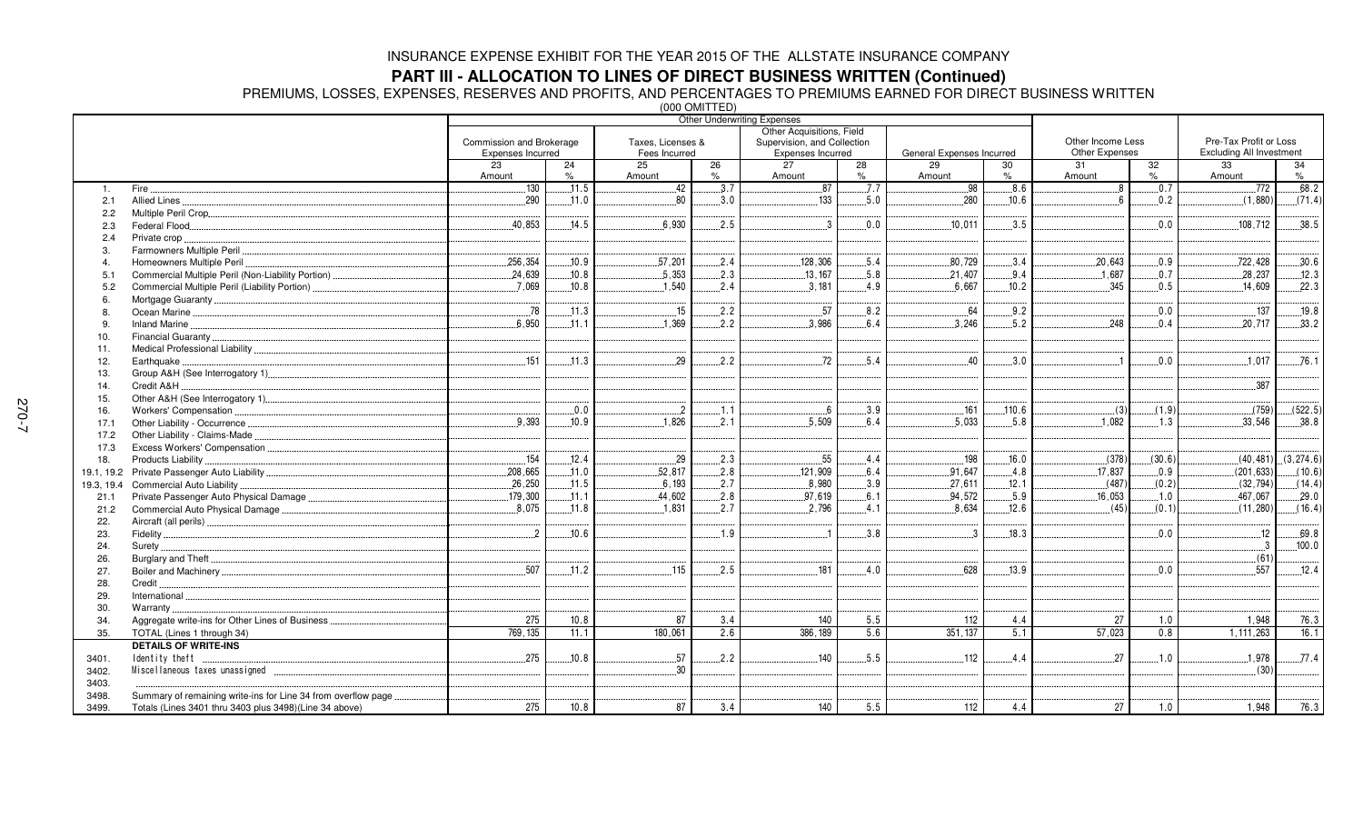### **PART III - ALLOCATION TO LINES OF DIRECT BUSINESS WRITTEN (Continued)**

PREMIUMS, LOSSES, EXPENSES, RESERVES AND PROFITS, AND PERCENTAGES TO PREMIUMS EARNED FOR DIRECT BUSINESS WRITTEN

|                |                                                                |                                               |       | $(000$ UNII I LED                  |      | <b>Other Underwriting Expenses</b>               |      |                           |        |                                     |        |                                                           |           |
|----------------|----------------------------------------------------------------|-----------------------------------------------|-------|------------------------------------|------|--------------------------------------------------|------|---------------------------|--------|-------------------------------------|--------|-----------------------------------------------------------|-----------|
|                |                                                                |                                               |       |                                    |      | Other Acquisitions, Field                        |      |                           |        |                                     |        |                                                           |           |
|                |                                                                | Commission and Brokerage<br>Expenses Incurred |       | Taxes, Licenses &<br>Fees Incurred |      | Supervision, and Collection<br>Expenses Incurred |      | General Expenses Incurred |        | Other Income Less<br>Other Expenses |        | Pre-Tax Profit or Loss<br><b>Excluding All Investment</b> |           |
|                |                                                                | 23                                            | 24    | 25                                 | 26   | 27                                               | 28   | 29                        | 30     | 31                                  | 32     | 33                                                        | 34        |
|                |                                                                | Amount                                        | $\%$  | Amount                             | $\%$ | Amount                                           | $\%$ | Amount                    | $\%$   | Amount                              | $\%$   | Amount                                                    | $\%$      |
| 1.             | Fire.                                                          | 130                                           | .11.5 | .42                                | 3.7  | .87                                              | 7.7  | .98                       | 8.6    | 8                                   | .0.7   | .772                                                      | 68.2      |
| 2.1            | Allied Lines                                                   | .290                                          | .11.0 | 80                                 | .3.0 | 133                                              | .5.0 | .280                      | .10.6  | 6                                   | 0.2    | (1,880)                                                   | (71.4)    |
| 2.2            |                                                                |                                               |       |                                    |      |                                                  |      |                           |        |                                     |        |                                                           |           |
| 2.3            |                                                                | .40,853                                       | .14.5 | 6,930                              | .2.5 | $\cdot$ 3                                        | .0.0 | .10,011                   | 3.5    |                                     | 0.0    | .108,712                                                  | .38.5     |
| 2.4            | Private crop.                                                  |                                               |       |                                    |      |                                                  |      |                           |        |                                     |        |                                                           |           |
| 3              |                                                                |                                               |       |                                    |      |                                                  |      |                           |        |                                     |        |                                                           |           |
| $\overline{4}$ | Homeowners Multiple Peril                                      | .256,354                                      | .10.9 | .57,201                            | .2.4 | .128,306                                         | .5.4 | .80,729                   | 3.4    | .20,643                             | .0.9   | 722,428                                                   | .30.6     |
| 5.1            |                                                                | 24,639                                        | 10.8  | 5,353                              | .2.3 | 13, 167                                          | 5.8  | 21,407                    | 9.4    | .1.687                              | 0.7    | 28,237                                                    | 12.3      |
| 5.2            | Commercial Multiple Peril (Liability Portion)                  | .7,069                                        | .10.8 | .1,540                             | .2.4 | .3,181                                           | .4.9 | .6,667                    | .10.2  | .345                                | .0.5   | .14,609                                                   | .22.3     |
| 6              |                                                                |                                               |       |                                    |      |                                                  |      |                           |        |                                     |        |                                                           |           |
| -8             |                                                                | .78                                           | 11.3  | 15                                 | 2.2  | .57                                              | 8.2  | 64                        | 9.2    |                                     | 0.0    | .137                                                      | 19.8      |
| 9              |                                                                | 6.950                                         | .11.1 | .1,369                             | 2.2  | 3.986                                            | 6.4  | .3,246                    | .5.2   | .248                                | .0.4   | .20.717                                                   | .33.2     |
| 10.            | Financial Guaranty                                             |                                               |       |                                    |      |                                                  |      |                           |        |                                     |        |                                                           |           |
| 11.            |                                                                |                                               |       |                                    |      |                                                  |      |                           |        |                                     |        |                                                           |           |
| 12.            | Earthquake.                                                    | .151                                          | .11.3 | 29                                 | .2.2 | .72                                              | 5.4  | 40                        | 3.0    |                                     | 0.0    | .1.017                                                    | .76.1     |
| 13.            |                                                                |                                               |       |                                    |      |                                                  |      |                           |        |                                     |        |                                                           |           |
| 14.            | Credit A&H                                                     |                                               |       |                                    |      |                                                  |      |                           |        |                                     |        | .387                                                      |           |
| 15.            |                                                                |                                               |       |                                    |      |                                                  |      |                           |        |                                     |        |                                                           |           |
| 16.            | Workers' Compensation                                          |                                               | 0.0   | $\mathbf{2}$                       | .1.1 | 6                                                | .3.9 | 161                       | .110.6 | (3)                                 | (1.9)  | (759)                                                     | (522.5)   |
| 17.1           |                                                                | 9.393                                         | .10.9 | 1.826                              | 2.1  | 5.509                                            | 6.4  | .5.033                    | 5.8    | 1.082                               | .1.3   | .33,546                                                   | .38.8     |
| 17.2           | Other Liability - Claims-Made.                                 |                                               |       |                                    |      |                                                  |      |                           |        |                                     |        |                                                           |           |
| 17.3           |                                                                |                                               |       |                                    |      |                                                  |      |                           |        |                                     |        |                                                           |           |
| 18.            | Products Liability                                             | 154                                           | .12.4 | .29                                | .2.3 | .55                                              | 4.4  | .198                      | .16.0  | (378)                               | (30.6) | (40, 481)                                                 | (3,274.6) |
|                |                                                                | .208,665                                      | .11.0 | .52,817                            | .2.8 | .121,909                                         | 6.4  | .91,647                   | .4.8   | .17,837                             | 0.9    | (201, 633)                                                | (10.6)    |
| 19.3, 19.4     | Commercial Auto Liability                                      | .26,250                                       | .11.5 | .6.193                             | .2.7 | .8,980                                           | .3.9 | 27,611                    | .12.1  | (487)                               | (0.2)  | (32, 794)                                                 | (14.4)    |
| 21.1           |                                                                | 179,300                                       | .11.1 | .44,602                            | .2.8 | .97,619                                          | .6.1 | 94,572                    | .5.9   | .16,053                             | .1.0   | 467,067                                                   | .29.0     |
| 21.2           | Commercial Auto Physical Damage                                | .8,075                                        | .11.8 | 1,831                              | .2.7 | .2,796                                           | .4.1 | .8,634                    | 12.6   | (45)                                | (0.1)  | (11, 280)                                                 | (16.4)    |
| 22.            |                                                                |                                               |       |                                    |      |                                                  |      |                           |        |                                     |        |                                                           |           |
| 23.            |                                                                | $^{2}$                                        | .10.6 |                                    | 1.9  |                                                  | .3.8 | -3                        | .18.3  |                                     | 0.0    | 12                                                        | .69.8     |
| 24.            | Surety                                                         |                                               |       |                                    |      |                                                  |      |                           |        |                                     |        | $\cdot$ 3                                                 | .100.0    |
| 26.            |                                                                |                                               |       |                                    |      |                                                  |      |                           |        |                                     |        | (61)                                                      |           |
| 27.            |                                                                | .507                                          | .11.2 | .115                               | 2.5  | .181                                             | 4.0  | 628                       | .13.9  |                                     | 0.0    | .557                                                      | .12.4     |
| 28.            | Credit.                                                        |                                               |       |                                    |      |                                                  |      |                           |        |                                     |        |                                                           |           |
| 29.            | International                                                  |                                               |       |                                    |      |                                                  |      |                           |        |                                     |        |                                                           |           |
| 30.            | Warranty.                                                      |                                               |       |                                    |      |                                                  |      |                           |        |                                     |        |                                                           |           |
| 34.            | Aggregate write-ins for Other Lines of Business                | 275                                           | 10.8  | 87                                 | 3.4  | 140                                              | 5.5  | 112                       | 4.4    | 27                                  | 1.0    | 1,948                                                     | 76.3      |
| 35.            | TOTAL (Lines 1 through 34)                                     | 769.135                                       | 11.1  | 180,061                            | 2.6  | 386, 189                                         | 5.6  | 351, 137                  | 5.1    | 57,023                              | 0.8    | 1, 111, 263                                               | 16.1      |
|                | <b>DETAILS OF WRITE-INS</b>                                    |                                               |       |                                    |      |                                                  |      |                           |        |                                     |        |                                                           |           |
| 3401.          | Identity theft                                                 | .275                                          | .10.8 | .57                                | .2.2 | 140                                              | 5.5  | .112                      | 4.4    | 27                                  | .1.0   | .1,978                                                    | .77.4     |
| 3402.          |                                                                |                                               |       | 30                                 |      |                                                  |      |                           |        |                                     |        | (30)                                                      |           |
| 3403.          |                                                                |                                               |       |                                    |      |                                                  |      |                           |        |                                     |        |                                                           |           |
| 3498.          | Summary of remaining write-ins for Line 34 from overflow page. |                                               |       |                                    |      |                                                  |      |                           |        |                                     |        |                                                           |           |
| 3499.          | Totals (Lines 3401 thru 3403 plus 3498)(Line 34 above)         | 275                                           | 10.8  | 87                                 | 3.4  | 140                                              | 5.5  | 112                       | 4.4    | 27                                  | 1.0    | 1,948                                                     | 76.3      |